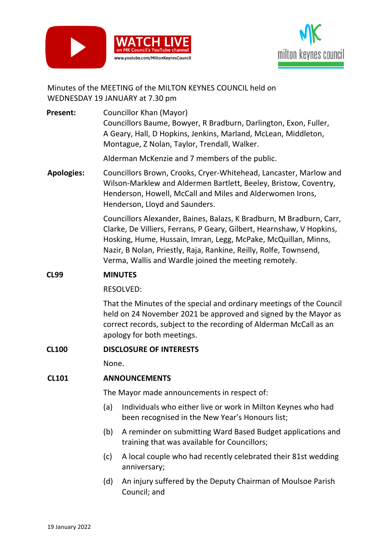



# Minutes of the MEETING of the MILTON KEYNES COUNCIL held on WEDNESDAY 19 JANUARY at 7.30 pm

**Present:** Councillor Khan (Mayor) Councillors Baume, Bowyer, R Bradburn, Darlington, Exon, Fuller, A Geary, Hall, D Hopkins, Jenkins, Marland, McLean, Middleton, Montague, Z Nolan, Taylor, Trendall, Walker.

Alderman McKenzie and 7 members of the public.

**Apologies:** Councillors Brown, Crooks, Cryer-Whitehead, Lancaster, Marlow and Wilson-Marklew and Aldermen Bartlett, Beeley, Bristow, Coventry, Henderson, Howell, McCall and Miles and Alderwomen Irons, Henderson, Lloyd and Saunders.

> Councillors Alexander, Baines, Balazs, K Bradburn, M Bradburn, Carr, Clarke, De Villiers, Ferrans, P Geary, Gilbert, Hearnshaw, V Hopkins, Hosking, Hume, Hussain, Imran, Legg, McPake, McQuillan, Minns, Nazir, B Nolan, Priestly, Raja, Rankine, Reilly, Rolfe, Townsend, Verma, Wallis and Wardle joined the meeting remotely.

# **CL99 MINUTES**

RESOLVED:

That the Minutes of the special and ordinary meetings of the Council held on 24 November 2021 be approved and signed by the Mayor as correct records, subject to the recording of Alderman McCall as an apology for both meetings.

#### **CL100 DISCLOSURE OF INTERESTS**

None.

#### **CL101 ANNOUNCEMENTS**

The Mayor made announcements in respect of:

- (a) Individuals who either live or work in Milton Keynes who had been recognised in the New Year's Honours list;
- (b) A reminder on submitting Ward Based Budget applications and training that was available for Councillors;
- (c) A local couple who had recently celebrated their 81st wedding anniversary;
- (d) An injury suffered by the Deputy Chairman of Moulsoe Parish Council; and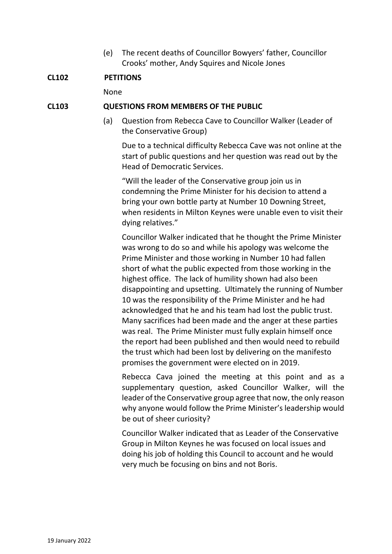(e) The recent deaths of Councillor Bowyers' father, Councillor Crooks' mother, Andy Squires and Nicole Jones

#### **CL102 PETITIONS**

None

#### **CL103 QUESTIONS FROM MEMBERS OF THE PUBLIC**

(a) Question from Rebecca Cave to Councillor Walker (Leader of the Conservative Group)

Due to a technical difficulty Rebecca Cave was not online at the start of public questions and her question was read out by the Head of Democratic Services.

"Will the leader of the Conservative group join us in condemning the Prime Minister for his decision to attend a bring your own bottle party at Number 10 Downing Street, when residents in Milton Keynes were unable even to visit their dying relatives."

Councillor Walker indicated that he thought the Prime Minister was wrong to do so and while his apology was welcome the Prime Minister and those working in Number 10 had fallen short of what the public expected from those working in the highest office. The lack of humility shown had also been disappointing and upsetting. Ultimately the running of Number 10 was the responsibility of the Prime Minister and he had acknowledged that he and his team had lost the public trust. Many sacrifices had been made and the anger at these parties was real. The Prime Minister must fully explain himself once the report had been published and then would need to rebuild the trust which had been lost by delivering on the manifesto promises the government were elected on in 2019.

Rebecca Cava joined the meeting at this point and as a supplementary question, asked Councillor Walker, will the leader of the Conservative group agree that now, the only reason why anyone would follow the Prime Minister's leadership would be out of sheer curiosity?

Councillor Walker indicated that as Leader of the Conservative Group in Milton Keynes he was focused on local issues and doing his job of holding this Council to account and he would very much be focusing on bins and not Boris.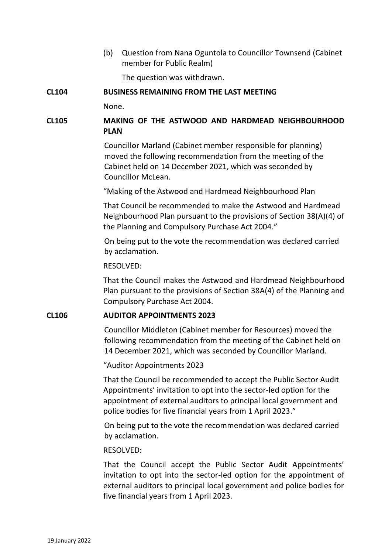(b) Question from Nana Oguntola to Councillor Townsend (Cabinet member for Public Realm)

The question was withdrawn.

# **CL104 BUSINESS REMAINING FROM THE LAST MEETING**

None.

# **CL105 MAKING OF THE ASTWOOD AND HARDMEAD NEIGHBOURHOOD PLAN**

Councillor Marland (Cabinet member responsible for planning) moved the following recommendation from the meeting of the Cabinet held on 14 December 2021, which was seconded by Councillor McLean.

"Making of the Astwood and Hardmead Neighbourhood Plan

That Council be recommended to make the Astwood and Hardmead Neighbourhood Plan pursuant to the provisions of Section 38(A)(4) of the Planning and Compulsory Purchase Act 2004."

On being put to the vote the recommendation was declared carried by acclamation.

#### RESOLVED:

That the Council makes the Astwood and Hardmead Neighbourhood Plan pursuant to the provisions of Section 38A(4) of the Planning and Compulsory Purchase Act 2004.

#### **CL106 AUDITOR APPOINTMENTS 2023**

Councillor Middleton (Cabinet member for Resources) moved the following recommendation from the meeting of the Cabinet held on 14 December 2021, which was seconded by Councillor Marland.

"Auditor Appointments 2023

That the Council be recommended to accept the Public Sector Audit Appointments' invitation to opt into the sector-led option for the appointment of external auditors to principal local government and police bodies for five financial years from 1 April 2023."

On being put to the vote the recommendation was declared carried by acclamation.

#### RESOLVED:

That the Council accept the Public Sector Audit Appointments' invitation to opt into the sector-led option for the appointment of external auditors to principal local government and police bodies for five financial years from 1 April 2023.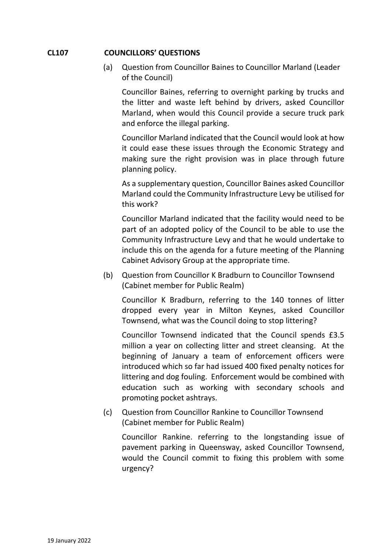# **CL107 COUNCILLORS' QUESTIONS**

(a) Question from Councillor Baines to Councillor Marland (Leader of the Council)

Councillor Baines, referring to overnight parking by trucks and the litter and waste left behind by drivers, asked Councillor Marland, when would this Council provide a secure truck park and enforce the illegal parking.

Councillor Marland indicated that the Council would look at how it could ease these issues through the Economic Strategy and making sure the right provision was in place through future planning policy.

As a supplementary question, Councillor Baines asked Councillor Marland could the Community Infrastructure Levy be utilised for this work?

Councillor Marland indicated that the facility would need to be part of an adopted policy of the Council to be able to use the Community Infrastructure Levy and that he would undertake to include this on the agenda for a future meeting of the Planning Cabinet Advisory Group at the appropriate time.

(b) Question from Councillor K Bradburn to Councillor Townsend (Cabinet member for Public Realm)

Councillor K Bradburn, referring to the 140 tonnes of litter dropped every year in Milton Keynes, asked Councillor Townsend, what was the Council doing to stop littering?

Councillor Townsend indicated that the Council spends £3.5 million a year on collecting litter and street cleansing. At the beginning of January a team of enforcement officers were introduced which so far had issued 400 fixed penalty notices for littering and dog fouling. Enforcement would be combined with education such as working with secondary schools and promoting pocket ashtrays.

(c) Question from Councillor Rankine to Councillor Townsend (Cabinet member for Public Realm)

Councillor Rankine. referring to the longstanding issue of pavement parking in Queensway, asked Councillor Townsend, would the Council commit to fixing this problem with some urgency?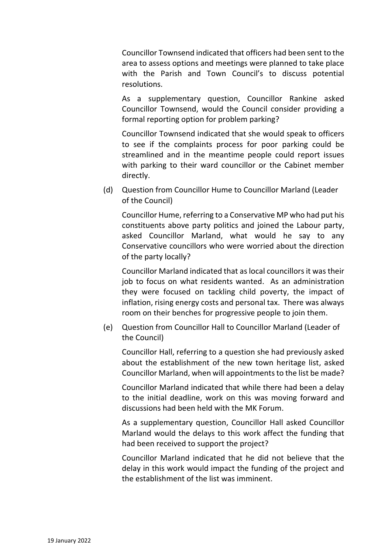Councillor Townsend indicated that officers had been sent to the area to assess options and meetings were planned to take place with the Parish and Town Council's to discuss potential resolutions.

As a supplementary question, Councillor Rankine asked Councillor Townsend, would the Council consider providing a formal reporting option for problem parking?

Councillor Townsend indicated that she would speak to officers to see if the complaints process for poor parking could be streamlined and in the meantime people could report issues with parking to their ward councillor or the Cabinet member directly.

(d) Question from Councillor Hume to Councillor Marland (Leader of the Council)

Councillor Hume, referring to a Conservative MP who had put his constituents above party politics and joined the Labour party, asked Councillor Marland, what would he say to any Conservative councillors who were worried about the direction of the party locally?

Councillor Marland indicated that as local councillors it was their job to focus on what residents wanted. As an administration they were focused on tackling child poverty, the impact of inflation, rising energy costs and personal tax. There was always room on their benches for progressive people to join them.

(e) Question from Councillor Hall to Councillor Marland (Leader of the Council)

Councillor Hall, referring to a question she had previously asked about the establishment of the new town heritage list, asked Councillor Marland, when will appointments to the list be made?

Councillor Marland indicated that while there had been a delay to the initial deadline, work on this was moving forward and discussions had been held with the MK Forum.

As a supplementary question, Councillor Hall asked Councillor Marland would the delays to this work affect the funding that had been received to support the project?

Councillor Marland indicated that he did not believe that the delay in this work would impact the funding of the project and the establishment of the list was imminent.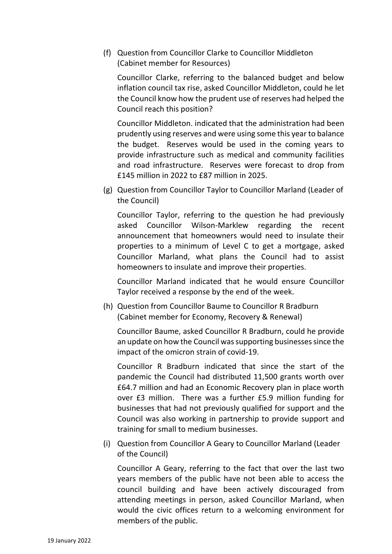(f) Question from Councillor Clarke to Councillor Middleton (Cabinet member for Resources)

Councillor Clarke, referring to the balanced budget and below inflation council tax rise, asked Councillor Middleton, could he let the Council know how the prudent use of reserves had helped the Council reach this position?

Councillor Middleton. indicated that the administration had been prudently using reserves and were using some this year to balance the budget. Reserves would be used in the coming years to provide infrastructure such as medical and community facilities and road infrastructure. Reserves were forecast to drop from £145 million in 2022 to £87 million in 2025.

(g) Question from Councillor Taylor to Councillor Marland (Leader of the Council)

Councillor Taylor, referring to the question he had previously asked Councillor Wilson-Marklew regarding the recent announcement that homeowners would need to insulate their properties to a minimum of Level C to get a mortgage, asked Councillor Marland, what plans the Council had to assist homeowners to insulate and improve their properties.

Councillor Marland indicated that he would ensure Councillor Taylor received a response by the end of the week.

(h) Question from Councillor Baume to Councillor R Bradburn (Cabinet member for Economy, Recovery & Renewal)

Councillor Baume, asked Councillor R Bradburn, could he provide an update on how the Council was supporting businesses since the impact of the omicron strain of covid-19.

Councillor R Bradburn indicated that since the start of the pandemic the Council had distributed 11,500 grants worth over £64.7 million and had an Economic Recovery plan in place worth over £3 million. There was a further £5.9 million funding for businesses that had not previously qualified for support and the Council was also working in partnership to provide support and training for small to medium businesses.

(i) Question from Councillor A Geary to Councillor Marland (Leader of the Council)

Councillor A Geary, referring to the fact that over the last two years members of the public have not been able to access the council building and have been actively discouraged from attending meetings in person, asked Councillor Marland, when would the civic offices return to a welcoming environment for members of the public.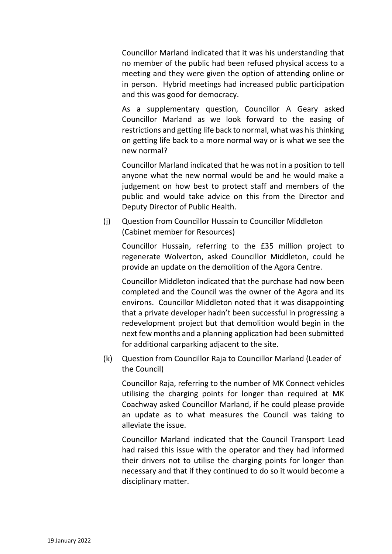Councillor Marland indicated that it was his understanding that no member of the public had been refused physical access to a meeting and they were given the option of attending online or in person. Hybrid meetings had increased public participation and this was good for democracy.

As a supplementary question, Councillor A Geary asked Councillor Marland as we look forward to the easing of restrictions and getting life back to normal, what was his thinking on getting life back to a more normal way or is what we see the new normal?

Councillor Marland indicated that he was not in a position to tell anyone what the new normal would be and he would make a judgement on how best to protect staff and members of the public and would take advice on this from the Director and Deputy Director of Public Health.

(j) Question from Councillor Hussain to Councillor Middleton (Cabinet member for Resources)

Councillor Hussain, referring to the £35 million project to regenerate Wolverton, asked Councillor Middleton, could he provide an update on the demolition of the Agora Centre.

Councillor Middleton indicated that the purchase had now been completed and the Council was the owner of the Agora and its environs. Councillor Middleton noted that it was disappointing that a private developer hadn't been successful in progressing a redevelopment project but that demolition would begin in the next few months and a planning application had been submitted for additional carparking adjacent to the site.

(k) Question from Councillor Raja to Councillor Marland (Leader of the Council)

Councillor Raja, referring to the number of MK Connect vehicles utilising the charging points for longer than required at MK Coachway asked Councillor Marland, if he could please provide an update as to what measures the Council was taking to alleviate the issue.

Councillor Marland indicated that the Council Transport Lead had raised this issue with the operator and they had informed their drivers not to utilise the charging points for longer than necessary and that if they continued to do so it would become a disciplinary matter.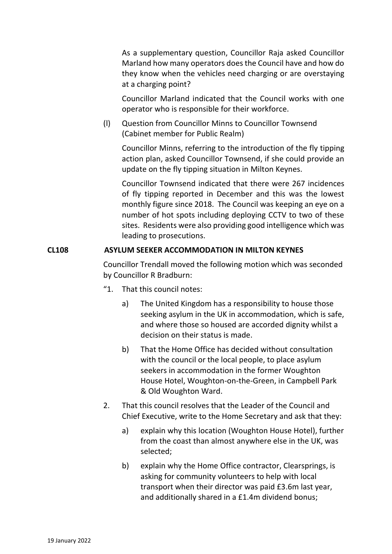As a supplementary question, Councillor Raja asked Councillor Marland how many operators does the Council have and how do they know when the vehicles need charging or are overstaying at a charging point?

Councillor Marland indicated that the Council works with one operator who is responsible for their workforce.

(l) Question from Councillor Minns to Councillor Townsend (Cabinet member for Public Realm)

Councillor Minns, referring to the introduction of the fly tipping action plan, asked Councillor Townsend, if she could provide an update on the fly tipping situation in Milton Keynes.

Councillor Townsend indicated that there were 267 incidences of fly tipping reported in December and this was the lowest monthly figure since 2018. The Council was keeping an eye on a number of hot spots including deploying CCTV to two of these sites. Residents were also providing good intelligence which was leading to prosecutions.

# **CL108 ASYLUM SEEKER ACCOMMODATION IN MILTON KEYNES**

Councillor Trendall moved the following motion which was seconded by Councillor R Bradburn:

- "1. That this council notes:
	- a) The United Kingdom has a responsibility to house those seeking asylum in the UK in accommodation, which is safe, and where those so housed are accorded dignity whilst a decision on their status is made.
	- b) That the Home Office has decided without consultation with the council or the local people, to place asylum seekers in accommodation in the former Woughton House Hotel, Woughton-on-the-Green, in Campbell Park & Old Woughton Ward.
- 2. That this council resolves that the Leader of the Council and Chief Executive, write to the Home Secretary and ask that they:
	- a) explain why this location (Woughton House Hotel), further from the coast than almost anywhere else in the UK, was selected;
	- b) explain why the Home Office contractor, Clearsprings, is asking for community volunteers to help with local transport when their director was paid £3.6m last year, and additionally shared in a £1.4m dividend bonus;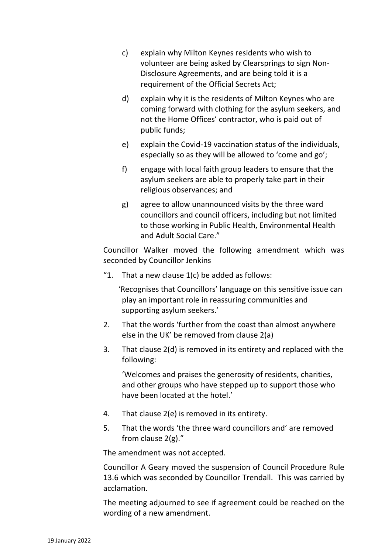- c) explain why Milton Keynes residents who wish to volunteer are being asked by Clearsprings to sign Non-Disclosure Agreements, and are being told it is a requirement of the Official Secrets Act;
- d) explain why it is the residents of Milton Keynes who are coming forward with clothing for the asylum seekers, and not the Home Offices' contractor, who is paid out of public funds;
- e) explain the Covid-19 vaccination status of the individuals, especially so as they will be allowed to 'come and go';
- f) engage with local faith group leaders to ensure that the asylum seekers are able to properly take part in their religious observances; and
- g) agree to allow unannounced visits by the three ward councillors and council officers, including but not limited to those working in Public Health, Environmental Health and Adult Social Care."

Councillor Walker moved the following amendment which was seconded by Councillor Jenkins

"1. That a new clause  $1(c)$  be added as follows:

'Recognises that Councillors' language on this sensitive issue can play an important role in reassuring communities and supporting asylum seekers.'

- 2. That the words 'further from the coast than almost anywhere else in the UK' be removed from clause 2(a)
- 3. That clause 2(d) is removed in its entirety and replaced with the following:

'Welcomes and praises the generosity of residents, charities, and other groups who have stepped up to support those who have been located at the hotel.'

- 4. That clause 2(e) is removed in its entirety.
- 5. That the words 'the three ward councillors and' are removed from clause 2(g)."

The amendment was not accepted.

Councillor A Geary moved the suspension of Council Procedure Rule 13.6 which was seconded by Councillor Trendall. This was carried by acclamation.

The meeting adjourned to see if agreement could be reached on the wording of a new amendment.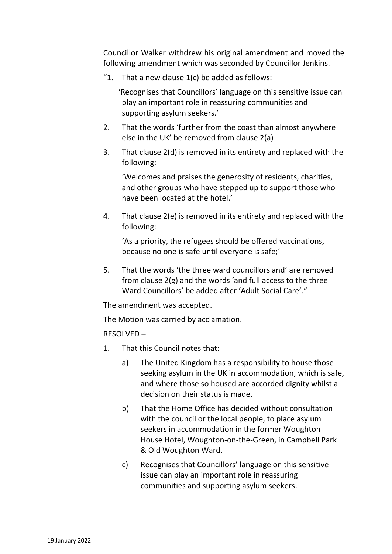Councillor Walker withdrew his original amendment and moved the following amendment which was seconded by Councillor Jenkins.

"1. That a new clause  $1(c)$  be added as follows:

'Recognises that Councillors' language on this sensitive issue can play an important role in reassuring communities and supporting asylum seekers.'

- 2. That the words 'further from the coast than almost anywhere else in the UK' be removed from clause 2(a)
- 3. That clause 2(d) is removed in its entirety and replaced with the following:

'Welcomes and praises the generosity of residents, charities, and other groups who have stepped up to support those who have been located at the hotel.'

4. That clause 2(e) is removed in its entirety and replaced with the following:

'As a priority, the refugees should be offered vaccinations, because no one is safe until everyone is safe;'

5. That the words 'the three ward councillors and' are removed from clause 2(g) and the words 'and full access to the three Ward Councillors' be added after 'Adult Social Care'."

The amendment was accepted.

The Motion was carried by acclamation.

RESOLVED –

- 1. That this Council notes that:
	- a) The United Kingdom has a responsibility to house those seeking asylum in the UK in accommodation, which is safe, and where those so housed are accorded dignity whilst a decision on their status is made.
	- b) That the Home Office has decided without consultation with the council or the local people, to place asylum seekers in accommodation in the former Woughton House Hotel, Woughton-on-the-Green, in Campbell Park & Old Woughton Ward.
	- c) Recognises that Councillors' language on this sensitive issue can play an important role in reassuring communities and supporting asylum seekers.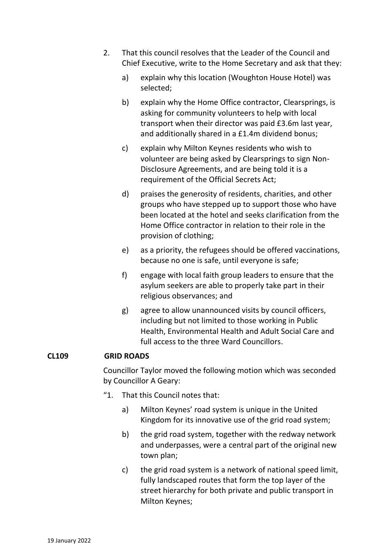- 2. That this council resolves that the Leader of the Council and Chief Executive, write to the Home Secretary and ask that they:
	- a) explain why this location (Woughton House Hotel) was selected;
	- b) explain why the Home Office contractor, Clearsprings, is asking for community volunteers to help with local transport when their director was paid £3.6m last year, and additionally shared in a £1.4m dividend bonus;
	- c) explain why Milton Keynes residents who wish to volunteer are being asked by Clearsprings to sign Non-Disclosure Agreements, and are being told it is a requirement of the Official Secrets Act;
	- d) praises the generosity of residents, charities, and other groups who have stepped up to support those who have been located at the hotel and seeks clarification from the Home Office contractor in relation to their role in the provision of clothing;
	- e) as a priority, the refugees should be offered vaccinations, because no one is safe, until everyone is safe;
	- f) engage with local faith group leaders to ensure that the asylum seekers are able to properly take part in their religious observances; and
	- g) agree to allow unannounced visits by council officers, including but not limited to those working in Public Health, Environmental Health and Adult Social Care and full access to the three Ward Councillors.

#### **CL109 GRID ROADS**

Councillor Taylor moved the following motion which was seconded by Councillor A Geary:

- "1. That this Council notes that:
	- a) Milton Keynes' road system is unique in the United Kingdom for its innovative use of the grid road system;
	- b) the grid road system, together with the redway network and underpasses, were a central part of the original new town plan;
	- c) the grid road system is a network of national speed limit, fully landscaped routes that form the top layer of the street hierarchy for both private and public transport in Milton Keynes;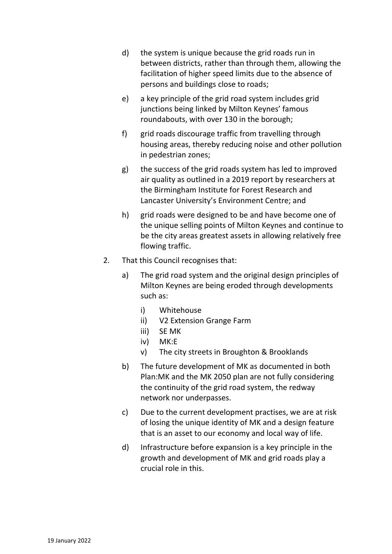- d) the system is unique because the grid roads run in between districts, rather than through them, allowing the facilitation of higher speed limits due to the absence of persons and buildings close to roads;
- e) a key principle of the grid road system includes grid junctions being linked by Milton Keynes' famous roundabouts, with over 130 in the borough;
- f) grid roads discourage traffic from travelling through housing areas, thereby reducing noise and other pollution in pedestrian zones;
- g) the success of the grid roads system has led to improved air quality as outlined in a 2019 report by researchers at the Birmingham Institute for Forest Research and Lancaster University's Environment Centre; and
- h) grid roads were designed to be and have become one of the unique selling points of Milton Keynes and continue to be the city areas greatest assets in allowing relatively free flowing traffic.
- 2. That this Council recognises that:
	- a) The grid road system and the original design principles of Milton Keynes are being eroded through developments such as:
		- i) Whitehouse
		- ii) V2 Extension Grange Farm
		- iii) SE MK
		- iv) MK:E
		- v) The city streets in Broughton & Brooklands
	- b) The future development of MK as documented in both Plan:MK and the MK 2050 plan are not fully considering the continuity of the grid road system, the redway network nor underpasses.
	- c) Due to the current development practises, we are at risk of losing the unique identity of MK and a design feature that is an asset to our economy and local way of life.
	- d) Infrastructure before expansion is a key principle in the growth and development of MK and grid roads play a crucial role in this.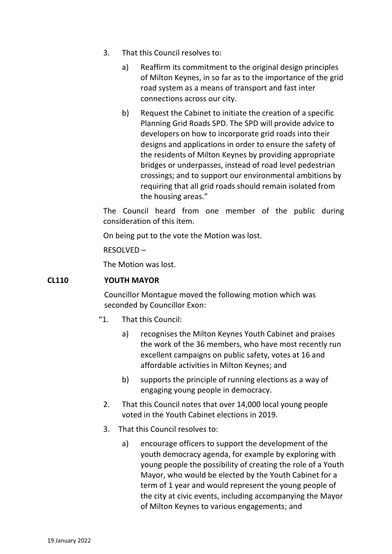- 3. That this Council resolves to:
	- a) Reaffirm its commitment to the original design principles of Milton Keynes, in so far as to the importance of the grid road system as a means of transport and fast inter connections across our city.
	- b) Request the Cabinet to initiate the creation of a specific Planning Grid Roads SPD. The SPD will provide advice to developers on how to incorporate grid roads into their designs and applications in order to ensure the safety of the residents of Milton Keynes by providing appropriate bridges or underpasses, instead of road level pedestrian crossings; and to support our environmental ambitions by requiring that all grid roads should remain isolated from the housing areas."

The Council heard from one member of the public during consideration of this item.

On being put to the vote the Motion was lost.

RESOLVED –

The Motion was lost.

#### **CL110 YOUTH MAYOR**

Councillor Montague moved the following motion which was seconded by Councillor Exon:

- "1. That this Council:
	- a) recognises the Milton Keynes Youth Cabinet and praises the work of the 36 members, who have most recently run excellent campaigns on public safety, votes at 16 and affordable activities in Milton Keynes; and
	- b) supports the principle of running elections as a way of engaging young people in democracy.
	- 2. That this Council notes that over 14,000 local young people voted in the Youth Cabinet elections in 2019.
- 3. That this Council resolves to:
	- a) encourage officers to support the development of the youth democracy agenda, for example by exploring with young people the possibility of creating the role of a Youth Mayor, who would be elected by the Youth Cabinet for a term of 1 year and would represent the young people of the city at civic events, including accompanying the Mayor of Milton Keynes to various engagements; and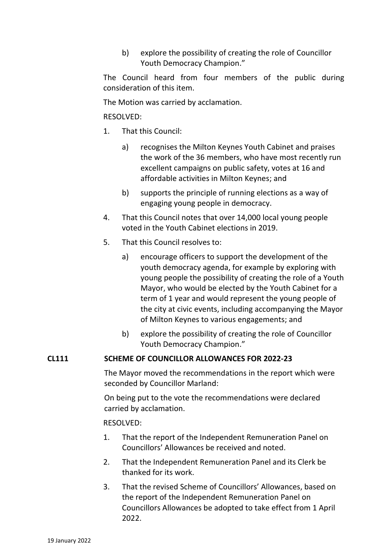b) explore the possibility of creating the role of Councillor Youth Democracy Champion."

The Council heard from four members of the public during consideration of this item.

The Motion was carried by acclamation.

# RESOLVED:

- 1. That this Council:
	- a) recognises the Milton Keynes Youth Cabinet and praises the work of the 36 members, who have most recently run excellent campaigns on public safety, votes at 16 and affordable activities in Milton Keynes; and
	- b) supports the principle of running elections as a way of engaging young people in democracy.
- 4. That this Council notes that over 14,000 local young people voted in the Youth Cabinet elections in 2019.
- 5. That this Council resolves to:
	- a) encourage officers to support the development of the youth democracy agenda, for example by exploring with young people the possibility of creating the role of a Youth Mayor, who would be elected by the Youth Cabinet for a term of 1 year and would represent the young people of the city at civic events, including accompanying the Mayor of Milton Keynes to various engagements; and
	- b) explore the possibility of creating the role of Councillor Youth Democracy Champion."

#### **CL111 SCHEME OF COUNCILLOR ALLOWANCES FOR 2022-23**

The Mayor moved the recommendations in the report which were seconded by Councillor Marland:

On being put to the vote the recommendations were declared carried by acclamation.

#### RESOLVED:

- 1. That the report of the Independent Remuneration Panel on Councillors' Allowances be received and noted.
- 2. That the Independent Remuneration Panel and its Clerk be thanked for its work.
- 3. That the revised Scheme of Councillors' Allowances, based on the report of the Independent Remuneration Panel on Councillors Allowances be adopted to take effect from 1 April 2022.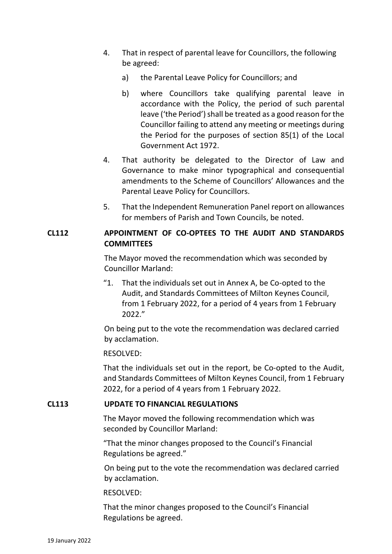- 4. That in respect of parental leave for Councillors, the following be agreed:
	- a) the Parental Leave Policy for Councillors; and
	- b) where Councillors take qualifying parental leave in accordance with the Policy, the period of such parental leave ('the Period') shall be treated as a good reason for the Councillor failing to attend any meeting or meetings during the Period for the purposes of section 85(1) of the Local Government Act 1972.
- 4. That authority be delegated to the Director of Law and Governance to make minor typographical and consequential amendments to the Scheme of Councillors' Allowances and the Parental Leave Policy for Councillors.
- 5. That the Independent Remuneration Panel report on allowances for members of Parish and Town Councils, be noted.

### **CL112 APPOINTMENT OF CO-OPTEES TO THE AUDIT AND STANDARDS COMMITTEES**

The Mayor moved the recommendation which was seconded by Councillor Marland:

"1. That the individuals set out in Annex A, be Co-opted to the Audit, and Standards Committees of Milton Keynes Council, from 1 February 2022, for a period of 4 years from 1 February 2022."

On being put to the vote the recommendation was declared carried by acclamation.

#### RESOLVED:

That the individuals set out in the report, be Co-opted to the Audit, and Standards Committees of Milton Keynes Council, from 1 February 2022, for a period of 4 years from 1 February 2022.

#### **CL113 UPDATE TO FINANCIAL REGULATIONS**

The Mayor moved the following recommendation which was seconded by Councillor Marland:

"That the minor changes proposed to the Council's Financial Regulations be agreed."

On being put to the vote the recommendation was declared carried by acclamation.

#### RESOLVED:

That the minor changes proposed to the Council's Financial Regulations be agreed.